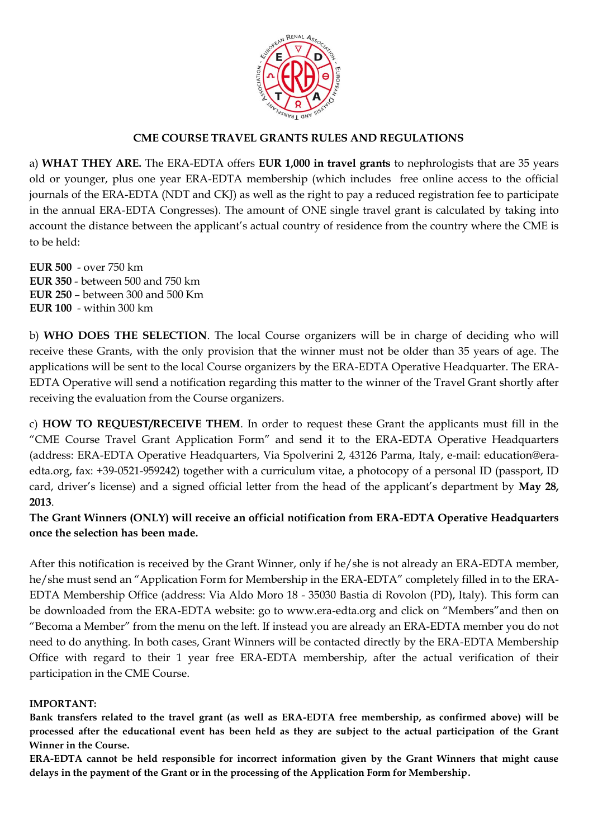

## **CME COURSE TRAVEL GRANTS RULES AND REGULATIONS**

a) **WHAT THEY ARE.** The ERA-EDTA offers **EUR 1,000 in travel grants** to nephrologists that are 35 years old or younger, plus one year ERA-EDTA membership (which includes free online access to the official journals of the ERA-EDTA (NDT and CKJ) as well as the right to pay a reduced registration fee to participate in the annual ERA-EDTA Congresses). The amount of ONE single travel grant is calculated by taking into account the distance between the applicant's actual country of residence from the country where the CME is to be held:

**EUR 500** - over 750 km **EUR 350** - between 500 and 750 km **EUR 250** – between 300 and 500 Km **EUR 100** - within 300 km

b) **WHO DOES THE SELECTION**. The local Course organizers will be in charge of deciding who will receive these Grants, with the only provision that the winner must not be older than 35 years of age. The applications will be sent to the local Course organizers by the ERA-EDTA Operative Headquarter. The ERA-EDTA Operative will send a notification regarding this matter to the winner of the Travel Grant shortly after receiving the evaluation from the Course organizers.

c) **HOW TO REQUEST/RECEIVE THEM**. In order to request these Grant the applicants must fill in the "CME Course Travel Grant Application Form" and send it to the ERA-EDTA Operative Headquarters (address: ERA-EDTA Operative Headquarters, Via Spolverini 2, 43126 Parma, Italy, e-mail: education@eraedta.org, fax: +39-0521-959242) together with a curriculum vitae, a photocopy of a personal ID (passport, ID card, driver's license) and a signed official letter from the head of the applicant's department by **May 28, 2013**.

**The Grant Winners (ONLY) will receive an official notification from ERA-EDTA Operative Headquarters once the selection has been made.** 

After this notification is received by the Grant Winner, only if he/she is not already an ERA-EDTA member, he/she must send an "Application Form for Membership in the ERA-EDTA" completely filled in to the ERA-EDTA Membership Office (address: Via Aldo Moro 18 - 35030 Bastia di Rovolon (PD), Italy). This form can be downloaded from the ERA-EDTA website: go to www.era-edta.org and click on "Members"and then on "Becoma a Member" from the menu on the left. If instead you are already an ERA-EDTA member you do not need to do anything. In both cases, Grant Winners will be contacted directly by the ERA-EDTA Membership Office with regard to their 1 year free ERA-EDTA membership, after the actual verification of their participation in the CME Course.

### **IMPORTANT:**

**Bank transfers related to the travel grant (as well as ERA-EDTA free membership, as confirmed above) will be processed after the educational event has been held as they are subject to the actual participation of the Grant Winner in the Course.**

**ERA-EDTA cannot be held responsible for incorrect information given by the Grant Winners that might cause delays in the payment of the Grant or in the processing of the Application Form for Membership.**